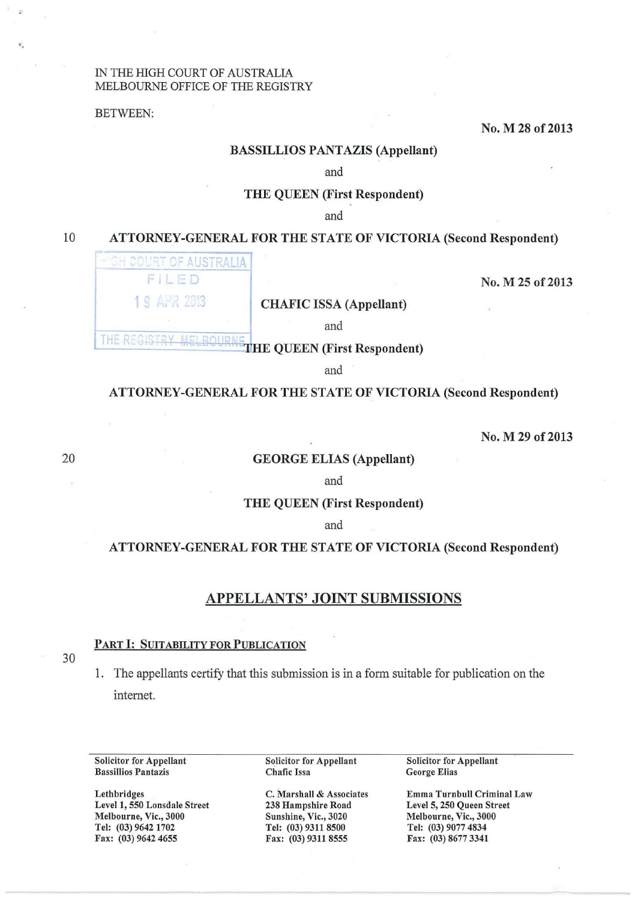### IN THE HIGH COURT OF AUSTRALIA MELBOURNE OFFICE OF THE REGISTRY

BETWEEN:

•.

## No. M 28 of 2013

### BASSILLIOS PANTAZIS (Appellant)

and

### THE QUEEN (First Respondent)

and

# 10 ATTORNEY-GENERAL FOR THE STATE OF VICTORIA (Second Respondent)

| <b>EH COURT OF AUSTRALIA!</b> |                                |                  |
|-------------------------------|--------------------------------|------------------|
| FILED                         |                                | No. M 25 of 2013 |
| 19 APR 2013                   | <b>CHAFIC ISSA (Appellant)</b> |                  |
|                               | and                            |                  |

THE REGISTRY MELBOURNETHE QUEEN (First Respondent)

and

### ATTORNEY -GENERAL FOR THE STATE OF VICTORIA (Second Respondent)

No. M 29 of 2013

### GEORGE ELIAS (Appellant)

and

THE QUEEN (First Respondent)

## and

## ATTORNEY -GENERAL FOR THE STATE OF VICTORIA (Second Respondent)

# APPELLANTS' JOINT SUBMISSIONS

## PART I: SUITABILITY FOR PUBLICATION

30

20

1. The appellants certify that this submission is in a form suitable for publication on the internet.

Solicitor for Appellant Bassillios Pantazis

Lethbridges Level 1, 550 Lonsdale Street Melbourne, Vic., 3000 Tel: (03) 9642 1702 Fax: (03) 9642 4655

Solicitor for Appellant Chafic Issa

C. Marshall & Associates 238 Hampshire Road Sunshine, Vic., 3020 Tel: (03) 9311 8500 Fax: (03) 9311 8555

Solicitor for Appellant George Elias

Emma Turnbull Criminal Law Level 5, 250 Queen Street Melbourne, Vic., 3000 Tel: (03) 9077 4834 Fax: (03) 8677 3341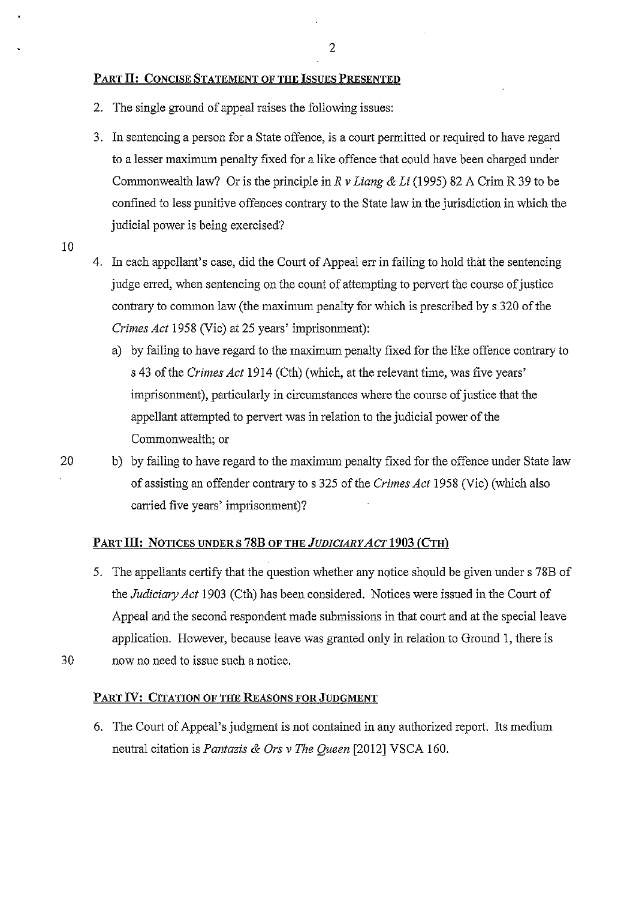# PART II: CONCISE STATEMENT OF THE ISSUES PRESENTED

- 2. The single ground of appeal raises the following issues:
- 3. In sentencing a person for a State offence, is a court permitted or required to have regard to a lesser maximum penalty fixed for a like offence that could have been charged under Commonwealth law? Or is the principle in *R v Liang* & *Li* (1995) 82 A Crim R 39 to be confined to less punitive offences contrary to the State law in the jurisdiction in which the judicial power is being exercised?
- 10
- 4. In each appellant's case, did the Court of Appeal err in failing to hold that the sentencing judge erred, when sentencing on the count of attempting to pervert the course of justice contrary to common law (the maximum penalty for which is prescribed by s 320 of the *Crimes Act* 1958 (Vic) at 25 years' imprisomnent):
	- a) by failing to have regard to the maximum penalty fixed for the like offence contrary to s 43 of the *Crimes Act* 1914 (Cth) (which, at the relevant time, was five years' imprisomnent), particularly in circumstances where the course of justice that the appellant attempted to pervert was in relation to the judicial power of the Commonwealth; or
- 20 b) by failing to have regard to the maximum penalty fixed for the offence under State law of assisting an offender contrary to s 325 of the *Crimes Act* 1958 (Vic) (which also carried five years' imprisonment)?

## PART III: NOTICES UNDER S 78B OF THE *JUDICIARY ACT* 1903 (CTH)

- 5. The appellants certify that the question whether any notice should be given under s 78B of the *Judiciary Act* 1903 (Cth) has been considered. Notices were issued in the Court of Appeal and the second respondent made submissions in that court and at the special leave application. However, because leave was granted only in relation to Ground 1, there is
- 30 now no need to issue such a notice.

## PART IV: CITATION OF THE REASONS FOR JUDGMENT

6. The Court of Appeal's judgment is not contained in any authorized report. Its medium neutral citation is *Pantazis* & *Ors v The Queen* [2012] VSCA 160.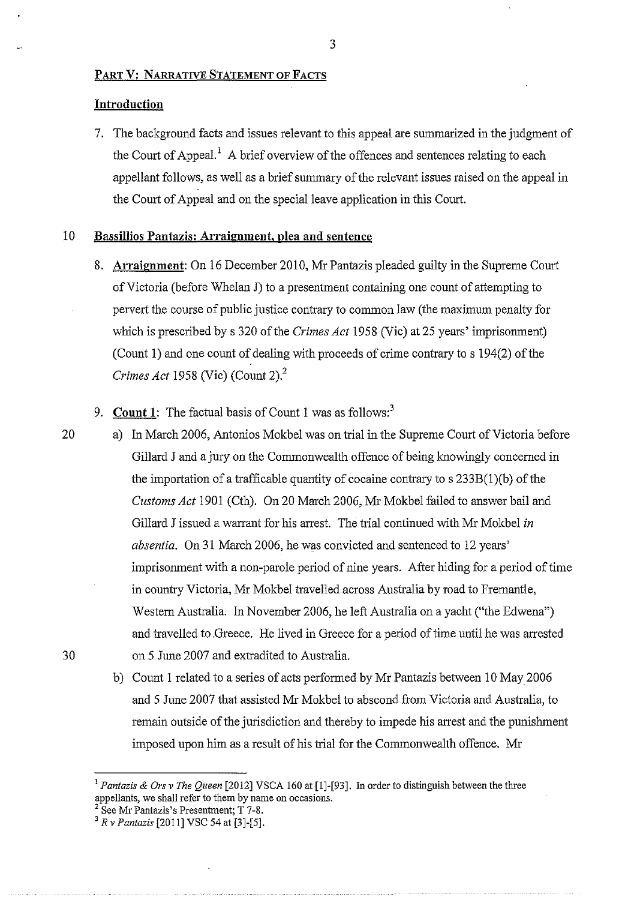## PART V: NARRATIVE STATEMENT OF FACTS

## **Introduction**

7. The background facts and issues relevant to this appeal are summarized in the judgment of the Court of Appeal.<sup>1</sup> A brief overview of the offences and sentences relating to each appellant follows, as well as a brief summary of the relevant issues raised on the appeal in the Court of Appeal and on the special leave application in this Court.

## 10 **Bassillios Pantazis: Arraignment, plea and sentence**

8. **Arraignment:** On 16 December 2010, Mr Pantazis pleaded guilty in the Supreme Court of Victoria (before Whelan J) to a presentment containing one count of attempting to pervert the course of public justice contrary to common law (the maximum penalty for which is prescribed by s 320 of the *Crimes Act* 1958 (Vic) at 25 years' imprisonment) (Count **1)** and one count of dealing with proceeds of crime contrary to s 194(2) of the *Crimes Act* 1958 (Vic) (Count 2).<sup>2</sup>

9. **Count 1:** The factual basis of Count 1 was as follows:<sup>3</sup>

- 20 a) In March 2006, Antonios Mokbel was on trial in the Supreme Court of Victoria before Gillard Janda jury on the Commonwealth offence of being knowingly concerned in the importation of a trafficable quantity of cocaine contrary to s 233B(1)(b) of the *Customs Act* 1901 (Cth). On 20 March 2006, Mr Mokbel failed to answer bail and Gillard J issued a warrant for his arrest. The trial continued with Mr Mokbel *in absentia.* On 31 March 2006, he was convicted and sentenced to 12 years' imprisonment with a non-parole period of nine years. After hiding for a period of time in country Victoria, Mr Mokbel travelled across Australia by road to Fremantle, Western Australia. In November 2006, he left Australia on a yacht ("the Edwena") and travelled to .Greece. He lived in Greece for a period of time until he was arrested 30 on 5 June 2007 and extradited to Australia.
- 
- b) Count 1 related to a series of acts performed by Mr Pantazis between 10 May 2006 and 5 June 2007 that assisted Mr Mokbel to abscond from Victoria and Australia, to remain outside of the jurisdiction and thereby to impede his arrest and the punishment imposed upon him as a result of his trial for the Commonwealth offence. Mr

<sup>1</sup>*Pantazis* & *Ors v The Queen* [2012] VSCA 160 at [1]-[93]. In order to distinguish between the three appellants, we shall refer to them by name on occasions. 2 See M:r Pantazis's Presentment; T 7-8. 3 *R v Pantazis* [2011] VSC 54 at [3]-[5].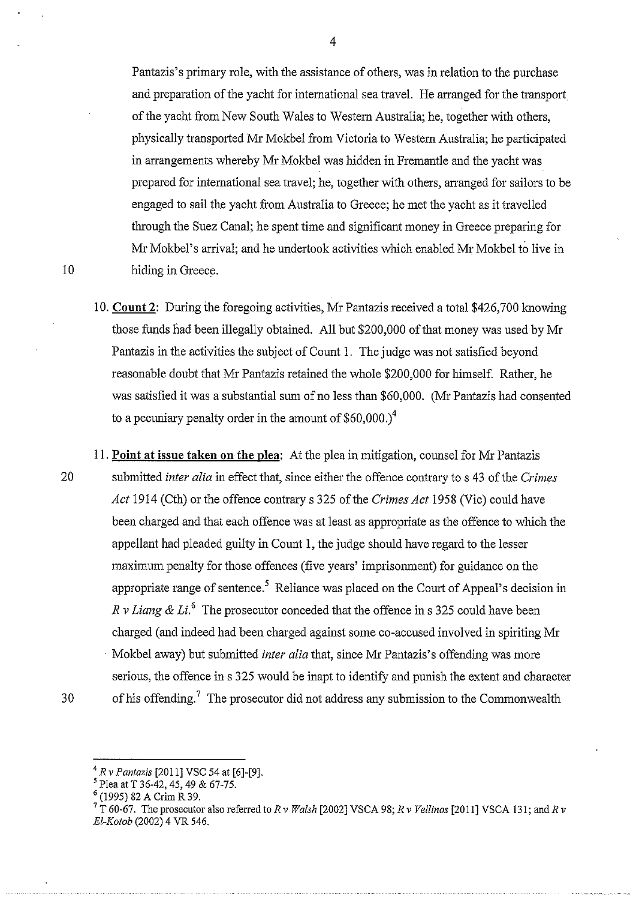Pantazis's primary role, with the assistance of others, was in relation to the purchase and preparation of the yacht for international sea travel. He arranged for the transport of the yacht from New South Wales to Western Australia; he, together with others, physically transported Mr Mokbel from Victoria to Western Australia; he participated in arrangements whereby Mr Mokbel was hidden in Fremantle and the yacht was prepared for international sea travel; he, together with others, arranged for sailors to be engaged to sail the yacht from Australia to Greece; he met the yacht as it travelled through the Suez Canal; he spent time and significant money in Greece preparing for Mr Mokbel's arrival; and he undertook activities which enabled Mr Mokbel to live in 10 hiding in Greece.

- 10. **Count 2:** During the foregoing activities, Mr Pantazis received a total \$426,700 knowing those funds had been illegally obtained. All but \$200,000 of that money was used by Mr Pantazis in the activities the subject of Count 1. The judge was not satisfied beyond reasonable doubt that Mr Pantazis retained the whole \$200,000 for himself. Rather, he was satisfied it was a substantial sum of no less than \$60,000. (Mr Pantazis had consented to a pecuniary penalty order in the amount of  $$60,000.<sup>4</sup>$
- 11. **Point at issue taken on the plea:** At the plea in mitigation, counsel for Mr Pantazis 20 submitted *inter alia* in effect that, since either the offence contrary to s 43 of the *Crimes Act* 1914 (Cth) or the offence contrary s 325 of the *Crimes Act* 1958 (Vic) could have been charged and that each offence was at least as appropriate as the offence to which the appellant had pleaded guilty in Count 1, the judge should have regard to the lesser maximum penalty for those offences (five years' imprisonment) for guidance on the appropriate range of sentence.<sup>5</sup> Reliance was placed on the Court of Appeal's decision in *R v Liang & Li.*<sup>6</sup> The prosecutor conceded that the offence in s 325 could have been charged (and indeed had been charged against some co-accused involved in spiriting Mr Mokbel away) but submitted *inter alia* that, since Mr Pantazis's offending was more serious, the offence in s 325 would be inapt to identify and punish the extent and character 30 of *his* offending. 7 The prosecutor did not address any submission to the Commonwealth

<sup>&</sup>lt;sup>4</sup> *R v Pantazis* [2011] VSC 54 at [6]-[9].<br><sup>5</sup> Plea at T 36-42, 45, 49 & 67-75.

<sup>&</sup>lt;sup>6</sup> (1995) 82 A Crim R 39.<br><sup>7</sup> T 60-67. The prosecutor also referred to *R v Walsh* [2002] VSCA 98; *R v Vellinos* [2011] VSCA 131; and *R v El-Kotob* (2002) 4 VR 546.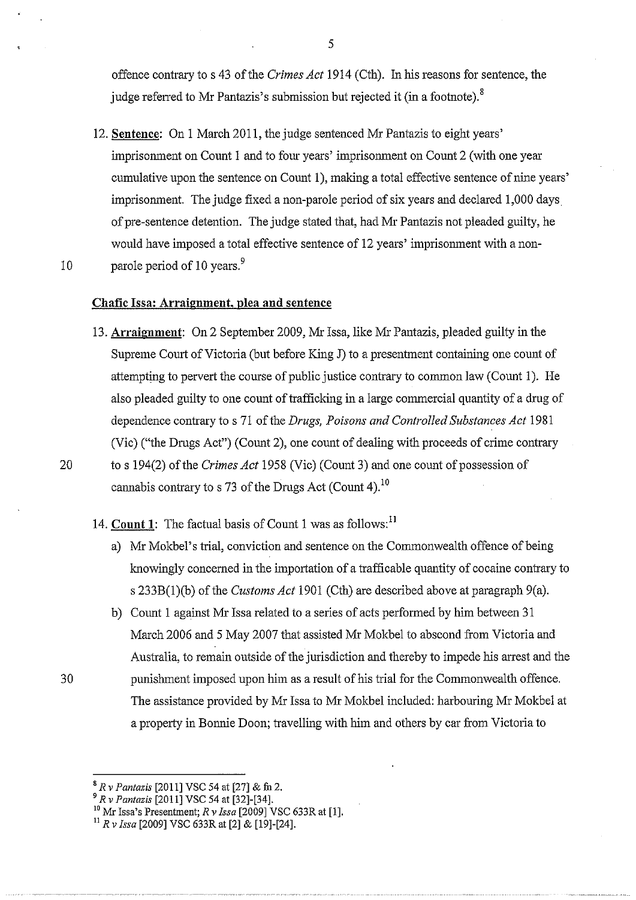offence contrary to s 43 of the *Crimes Act* 1914 (Cth). In his reasons for sentence, the judge referred to Mr Pantazis's submission but rejected it (in a footnote).<sup>8</sup>

12. **Sentence:** On 1 March 2011, the judge sentenced Mr Pantazis to eight years' imprisonment on Count 1 and to four years' imprisonment on Count 2 (with one year cumulative upon the sentence on Count 1), making a total effective sentence of nine years' imprisonment. The judge fixed a non-parole period of six years and declared 1,000 days of pre-sentence detention. The judge stated that, had Mr Pantazis not pleaded guilty, he would have imposed a total effective sentence of 12 years' imprisonment with a non-10 parole period of 10 years.<sup>9</sup>

### **Chafic Issa: Arraignment, plea and sentence**

- 13. **Arraignment:** On 2 September 2009, Mr Issa, like Mr Pantazis, pleaded guilty in the Supreme Court of Victoria (but before King J) to a presentment containing one count of attempting to pervert the course of public justice contrary to common law (Count 1 ). He also pleaded guilty to one count of trafficking in a large commercial quantity of a drug of dependence contrary to s 71 of the *Drugs, Poisons and Controlled Substances Act* 1981 (Vic) ("the Drugs Act") (Count 2), one count of dealing with proceeds of crime contrary 20 to s 194(2) of the *Crimes Act* 1958 (Vic) (Count 3) and one count of possession of cannabis contrary to s 73 of the Drugs Act (Count 4).<sup>10</sup>
	- 14. **Count 1:** The factual basis of Count 1 was as follows:<sup>11</sup>
		- a) Mr Mokbel's trial, conviction and sentence on the Commonwealth offence of being knowingly concerned in the importation of a trafficable quantity of cocaine contrary to s 233B(l)(b) of the *Customs Act* 1901 (Cth) are described above at paragraph 9(a).
- b) Count 1 against Mr Issa related to a series of acts performed by him between 31 March 2006 and 5 May 2007 that assisted Mr Mokbel to abscond from Victoria and Australia, to remain outside of the jurisdiction and thereby to impede his arrest and the 30 punishment imposed upon him as a result of his trial for the Commonwealth offence. The assistance provided by Mr Issa to Mr Mokbel included: harbouring Mr Mokbel at a property in Bonnie Doon; travelling with him and others by car from Victoria to

<sup>8</sup>*R v Pantazis* [2011] VSC 54 at [27] & fn 2.

<sup>9</sup>*R v Pantazis* [2011] VSC 54 at [32]-[34].

<sup>&</sup>lt;sup>10</sup> Mr Issa's Presentment; *R v Issa* [2009] VSC 633R at [1].

<sup>11</sup> *R v lssa* [2009] VSC 633R at [2] & [19]-[24].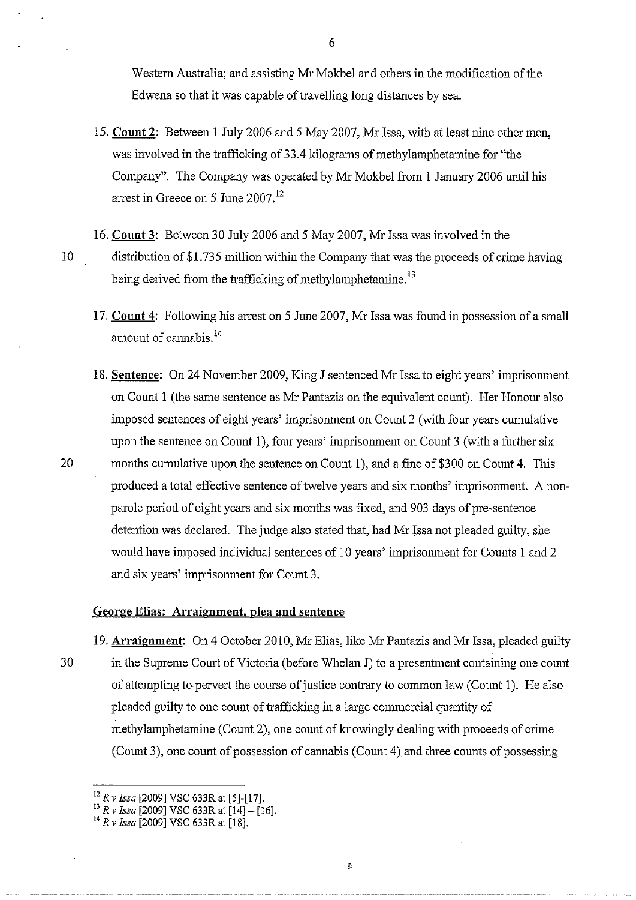Western Australia; and assisting Mr Mokbel and others in the modification of the Edwena so that it was capable of travelling long distances by sea.

- 15. **Count 2:** Between 1 July 2006 and 5 May 2007, Mr Issa, with at least nine other men, was involved in the trafficking of 33.4 kilograms of methylamphetamine for "the Company". The Company was operated by Mr Mokbel from 1 January 2006 until his arrest in Greece on 5 June 2007. <sup>12</sup>
- 16. **Count 3:** Between 30 July 2006 and 5 May 2007, Mr Issa was involved in the 10 distribution of \$1.73 5 million within the Company that was the proceeds of crime having being derived from the trafficking of methylamphetamine.<sup>13</sup>
	- 17. **Count 4:** Following his arrest on 5 June 2007, Mr Issa was found in possession of a small amount of cannabis.<sup>14</sup>
- 18. **Sentence:** On 24 November 2009, King J sentenced Mr Issa to eight years' imprisonment on Count 1 (the same sentence as Mr Pantazis on the equivalent count). Her Honour also imposed sentences of eight years' imprisonment on Count 2 (with four years cumulative upon the sentence on Count 1), four years' imprisonment on Count 3 (with a further six 20 months cumulative upon the sentence on Count 1), and a fine of \$300 on Count 4. This produced a total effective sentence of twelve years and six months' imprisonment. A nonparole period of eight years and six months was fixed, and 903 days of pre-sentence detention was declared. The judge also stated that, had Mr Issa not pleaded guilty, she would have imposed individual sentences of 10 years' imprisonment for Counts **1** and 2 and six years' imprisonment for Count 3.

## **George Elias: Arraignment, plea and sentence**

19. **Arraignment:** On 4 October 2010, Mr Elias, like Mr Pantazis and Mr Issa, pleaded guilty 30 in the Supreme Court of Victoria (before Whelan J) to a presentment containing one count of attempting to pervert the course of justice contrary to common law (Count 1 ). He also pleaded guilty to one count of trafficking in a large commercial quantity of methylamphetamine (Count 2), one count of knowingly dealing with proceeds of crime (Count 3), one count of possession of cannabis (Count 4) and three counts of possessing

6

### $\mathcal{L}$

<sup>12</sup>*R v Issa* [2009] VSC 633R at [5]-[17].

<sup>13</sup>*R v Issa* [2009] VSC 633R at [14]- [16]. 14 *R v Issa* [2009] VSC 633R at [18].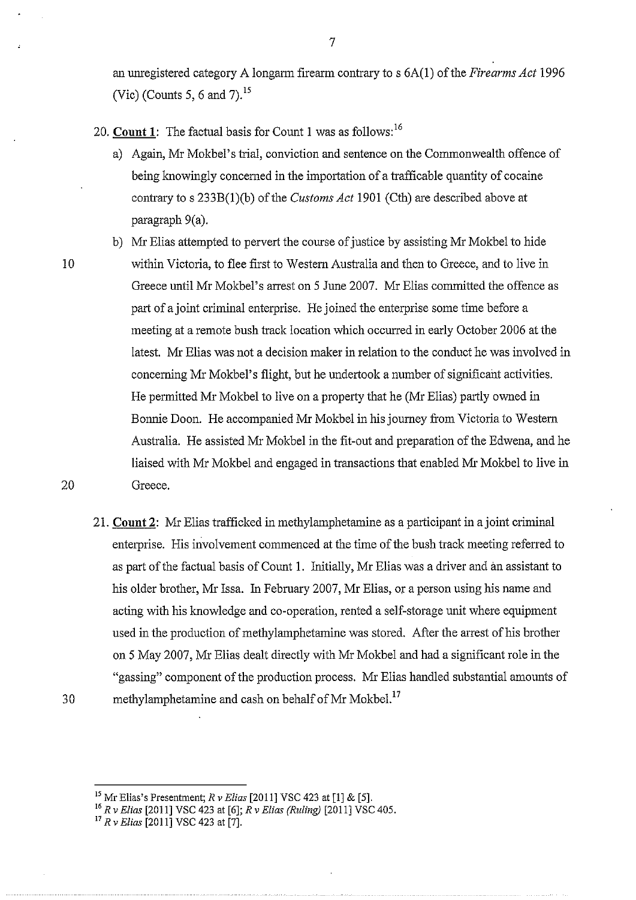an unregistered category A longarm firearm contrary to s 6A(1) of the *Firearms Act* 1996 (Vic) (Counts 5, 6 and 7). $^{15}$ 

20. **Count 1:** The factual basis for Count I was as follows: <sup>16</sup>

- a) Again, Mr Mokbel's trial, conviction and sentence on the Commonwealth offence of being knowingly concerned in the importation of a trafficable quantity of cocaine contrary to s 233B(1)(b) of the *Customs Act* 1901 (Cth) are described above at paragraph 9(a).
- 

b) Mr Elias attempted to pervert the course of justice by assisting Mr Mokbel to hide 10 within Victoria, to flee first to Western Australia and then to Greece, and to live in Greece until Mr Mokbel's arrest on 5 June 2007. Mr Elias committed the offence as part of a joint criminal enterprise. He joined the enterprise some time before a meeting at a remote bush track location which occurred in early October 2006 at the latest. Mr Elias was not a decision maker in relation to the conduct he was involved in concerning Mr Mokbel's flight, but he undertook a number of significant activities. He permitted Mr Mokbel to live on a property that he (Mr Elias) partly owned in Bonnie Doon. He accompanied Mr Mokbel in his journey from Victoria to Western Australia. He assisted Mr Mokbel in the fit-out and preparation of the Edwena, and he liaised with Mr Mokbel and engaged in transactions that enabled Mr Mokbel to live in 20 Greece.

21. **Count 2:** Mr Elias trafficked in methylamphetamine as a participant in a joint criminal enterprise. His involvement commenced at the time of the bush track meeting referred to as part of the factual basis of Count 1. Initially, Mr Elias was a driver and an assistant to his older brother, Mr Issa. In February 2007, Mr Elias, or a person using his name and acting with his knowledge and co-operation, rented a self-storage unit where equipment used in the production of methylamphetamine was stored. After the arrest of his brother on 5 May 2007, Mr Elias dealt directly with Mr Mokbel and had a significant role in the "gassing" component of the production process. Mr Elias handled substantial amounts of 30 methylamphetamine and cash on behalf of Mr Mokbel.<sup>17</sup>

<sup>15</sup>Mr Elias's Presentment; *R v Elias* [2011] VSC 423 at [I] & [5].

<sup>16</sup>*R v Elias* [2011] VSC 423 at [6]; *R v Elias (Ruling)* [2011] VSC 405.

<sup>17</sup>*R v Elias* [2011] VSC 423 at [7].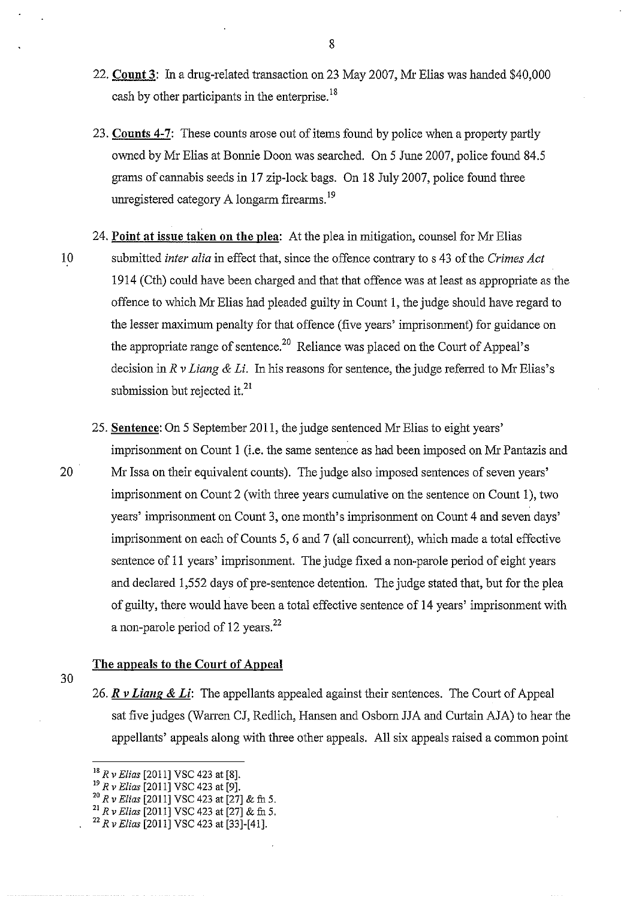- 22. **Count 3:** In a drug-related transaction on 23 May 2007, Mr Elias was handed \$40,000 cash by other participants in the enterprise.<sup>18</sup>
- 23. **Counts 4-7:** These counts arose out of items found by police when a property partly owned by Mr Elias at Bonnie Doon was searched. On 5 June 2007, police found 84.5 grams of carmabis seeds in 17 zip-lock bags. On 18 July 2007, police found three umegistered category A longarm firearms. <sup>19</sup>
- 24. **Point at issue taken on the plea:** At the plea in mitigation, counsel for Mr Elias 10 submitted *inter alia* in effect that, since the offence contrary to s 43 of the *Crimes Act*  1914 (Cth) could have been charged and that that offence was at least as appropriate as the offence to which Mr Elias had pleaded guilty in Count 1, the judge should have regard to the lesser maximum penalty for that offence (five years' imprisonment) for guidance on the appropriate range of sentence.<sup>20</sup> Reliance was placed on the Court of Appeal's decision in *R v Liang* & *Li.* In his reasons for sentence, the judge referred to Mr Elias's submission but rejected it. $^{21}$
- 25. **Sentence:** On 5 September 2011, the judge sentenced Mr Elias to eight years' imprisonment on Count 1 (i.e. the same sentence as had been imposed on Mr Pantazis and 20 Mr Issa on their equivalent counts). The judge also imposed sentences of seven years' imprisonment on Count 2 (with three years cumulative on the sentence on Count 1), two years' imprisonment on Count 3, one month's imprisonment on Count 4 and seven days' imprisonment on each of Counts 5, 6 and 7 (all concurrent), which made a total effective sentence of 11 years' imprisonment. The judge fixed a non-parole period of eight years and declared 1,552 days of pre-sentence detention. The judge stated that, but for the plea of guilty, there would have been a total effective sentence of 14 years' imprisonment with a non-parole period of 12 years.<sup>22</sup>

## **The appeals to the Court of Appeal**

- 30
- 26. *R v Liang & Li*: The appellants appealed against their sentences. The Court of Appeal sat five judges (Warren CJ, Redlich, Hansen and Osborn JJA and Curtain AJA) to hear the appellants' appeals along with three other appeals. All six appeals raised a common point

- <sup>19</sup> *R v Elias* [2011] VSC 423 at [9].<br><sup>20</sup> *R v Elias* [2011] VSC 423 at [27] & fn 5.<br><sup>21</sup> *R v Elias* [2011] VSC 423 at [27] & fn 5.<br><sup>22</sup> *R v Elias* [2011] VSC 423 at [33]-[41].
- 

<sup>18</sup>*R v Elias* [2011] VSC 423 at [8].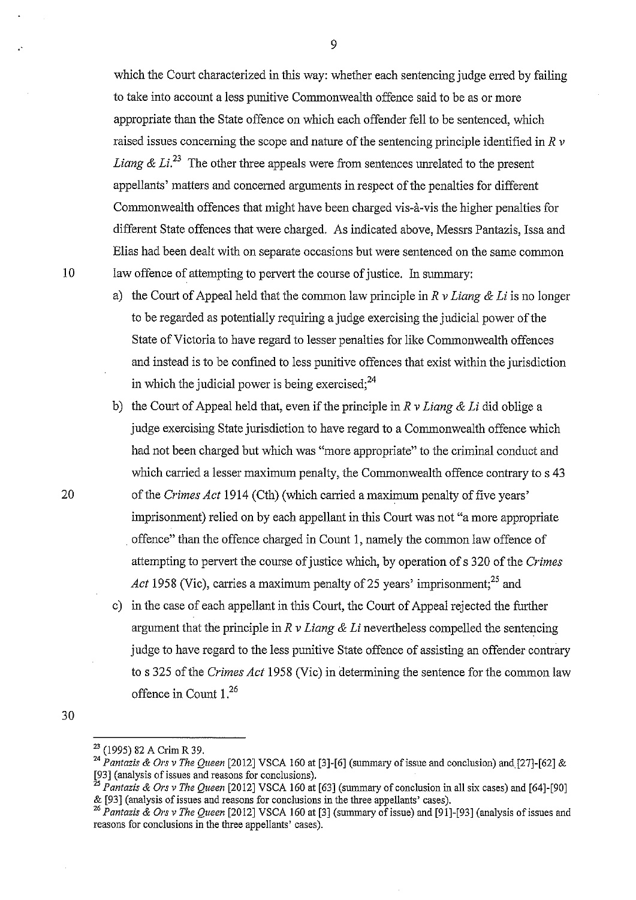which the Court characterized in this way: whether each sentencing judge erred by failing to take into account a less punitive Commonwealth offence said to be as or more appropriate than the State offence on which each offender fell to be sentenced, which raised issues concerning the scope and nature of the sentencing principle identified in *R v Liang & Li.*<sup>23</sup> The other three appeals were from sentences unrelated to the present appellants' matters and concerned arguments in respect of the penalties for different Commonwealth offences that might have been charged vis-a-vis the higher penalties for different State offences that were charged. As indicated above, Messrs Pantazis, Issa and Elias had been dealt with on separate occasions but were sentenced on the same common 10 law offence of attempting to pervert the course of justice. In summary:

- a) the Court of Appeal held that the common law principle in *R v Liang* & *Li* is no longer to be regarded as potentially requiring a judge exercising the judicial power of the State of Victoria to have regard to lesser penalties for like Commonwealth offences and instead is to be confined to less punitive offences that exist within the jurisdiction in which the judicial power is being exercised;  $24$
- b) the Comi of Appeal held that, even if the principle in *R v Liang* & *Li* did oblige a judge exercising State jurisdiction to have regard to a Commonwealth offence which had not been charged but which was "more appropriate" to the criminal conduct and which carried a lesser maximum penalty, the Commonwealth offence contrary to s 43 of the *Crimes Act* 1914 (Cth) (which carried a maximum penalty of five years' imprisonment) relied on by each appellant in this Court was not "a more appropriate . offence" than the offence charged in Count 1, namely the common law offence of attempting to pervert the course of justice which, by operation of s 320 of the *Crimes Act* 1958 (Vic), carries a maximum penalty of 25 years' imprisonment;<sup>25</sup> and
- c) in the case of each appellant in this Court, the Court of Appeal rejected the further argument that the principle in *R v Liang* & *Li* nevertheless compelled the sentencing judge to have regard to the less punitive State offence of assisting an offender contrary to s 325 of the *Crimes Act* 1958 (Vic) in determining the sentence for the common law offence in Count 1.<sup>26</sup>

20

<sup>23 (1995) 82</sup> A Crim R 39.

<sup>24</sup>*Pantazis* & *Ors v The Queen* [2012] VSCA 160 at [3]-[6] (summary of issue and conclusion) and[27]-[62] & [93] (analysis of issues and reasons for conclusions). 25 *Pantazis* & *Ors v The Queen* [2012] VSCA 160 at [63] (summary of conclusion in all six cases) and [64]-[90]

<sup>&</sup>amp; [93] (analysis of issues and reasons for conclusions in the three appellants' cases). 26 *Pantazis* & *Ors v The Queen* [2012] VSCA 160 at [3] (summary of issue) and [91]-[93] (analysis of issues and

reasons for conclusions in the three appellants' cases).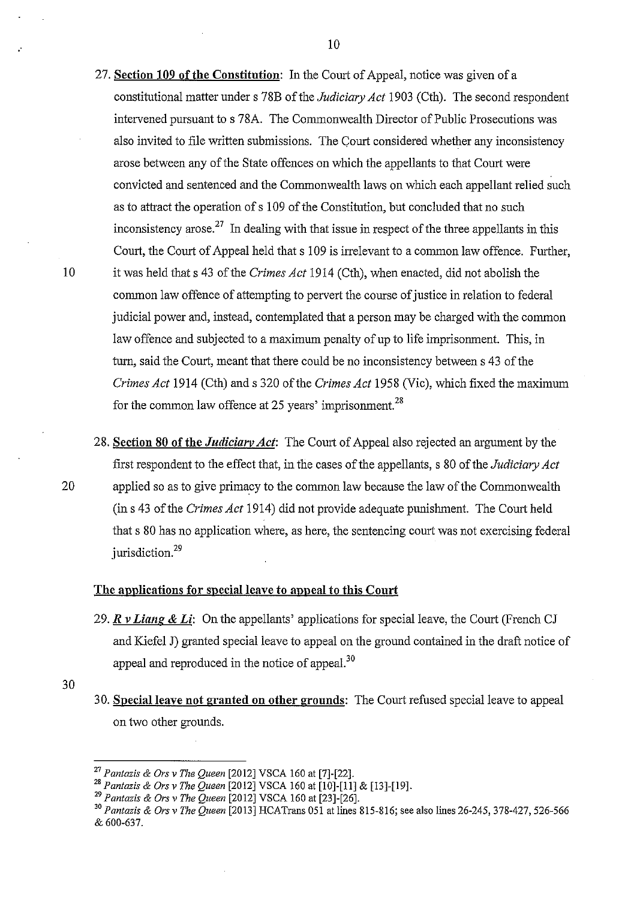- 27. **Section 109 of the Constitution:** In the Court of Appeal, notice was given of a constitutional matter under s 78B of the *Judiciary Act* 1903 (Cth). The second respondent intervened pursuant to s 78A. The Commonwealth Director of Public Prosecutions was also invited to file written submissions. The Court considered whether any inconsistency arose between any of the State offences on which the appellants to that Court were convicted and sentenced and the Commonwealth laws on which each appellant relied such as to attract the operation of s 109 of the Constitution, but concluded that no such inconsistency arose.<sup>27</sup> In dealing with that issue in respect of the three appellants in this Court, the Court of Appeal held that s 109 is inelevant to a common law offence. Further, 10 it was held that s 43 of the *Crimes Act* 1914 (Cth), when enacted, did not abolish the common law offence of attempting to pervert the course of justice in relation to federal judicial power and, instead, contemplated that a person may be charged with the common law offence and subjected to a maximum penalty of up to life imprisonment. This, in turn, said the Court, meant that there could be no inconsistency between s 43 of the *Crimes Act* 1914 (Cth) and s 320 of the *Crimes Act* 1958 (Vic), which fixed the maximum for the common law offence at 25 years' imprisonment.<sup>28</sup>
- 28. **Section 80 of the** *Judiciary Act:* The Court of Appeal also rejected an argument by the first respondent to the effect that, in the cases of the appellants, s 80 of the *Judiciary Act*  20 applied so as to give primacy to the common law because the law of the Commonwealth (ins 43 of the *Crimes Act* 1914) did not provide adequate punishment. The Court held that s 80 has no application where, as here, the sentencing court was not exercising federal jurisdiction.<sup>29</sup>

## **The applications for special leave to appeal to this Court**

- 29. *R v Liang* **&** *Li:* On the appellants' applications for special leave, the Court (French CJ and Kiefel J) granted special leave to appeal on the ground contained in the draft notice of appeal and reproduced in the notice of appeal.<sup>30</sup>
- 30. **Special leave not granted on other grounds:** The Court refused special leave to appeal on two other grounds.

<sup>27</sup>*Pantazis* & *Ors v The Queen* [2012] VSCA 160 at [7]-[22]. 28 *Pantazis* & *Ors v The Queen* [2012] VSCA 160 at [10]-[11] & [13]-[19].

<sup>29</sup>*Pantazis* & *Ors v The Queen* [2012] VSCA 160 at [23]-[26].

<sup>30</sup>*Pantazis* & *Ors v The Queen* [2013] RCA Trans 051 at lines 815-816; see also lines 26-245, 378-427, 526-566 & 600-637.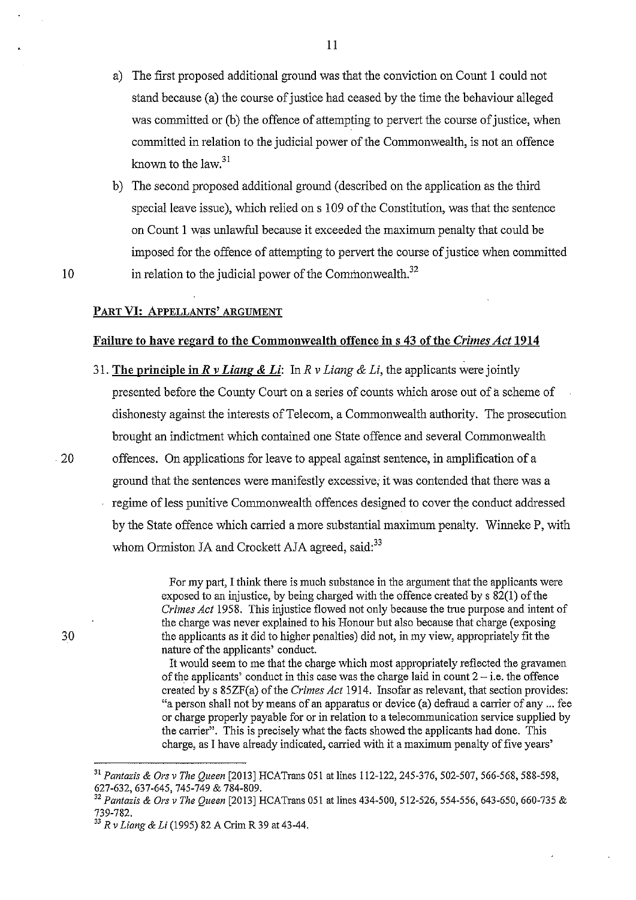- a) The first proposed additional ground was that the conviction on Count 1 could not stand because (a) the course of justice had ceased by the time the behaviour alleged was committed or (b) the offence of attempting to pervert the course of justice, when committed in relation to the judicial power of the Commonwealth, is not an offence known to the law.<sup>31</sup>
- b) The second proposed additional ground (described on the application as the third special leave issue), which relied on s 109 of the Constitution, was that the sentence on Count 1 was unlawful because it exceeded the maximum penalty that could be imposed for the offence of attempting to pervert the course of justice when committed in relation to the judicial power of the Commonwealth. $32$

10

### PART VI: APPELLANTS' ARGUMENT

### Failure to have regard to the Commonwealth offence in s 43 of the *Crimes Act* 1914

- 31. The principle in *R v Liang* & *Li:* In *R v Liang* & *Li,* the applicants were jointly presented before the County Court on a series of counts which arose out of a scheme of dishonesty against the interests of Telecom, a Commonwealth authority. The prosecution brought an indictment which contained one State offence and several Commonwealth
- . 20 offences. On applications for leave to appeal against sentence, in amplification of a ground that the sentences were manifestly excessive; it was contended that there was a regime of less punitive Commonwealth offences designed to cover the conduct addressed by the State offence which canied a more substantial maximum penalty. Winneke P, with whom Ormiston JA and Crockett AJA agreed, said:<sup>33</sup>

For my part, I think there is much substance in the argument that the applicants were exposed to an injustice, by being charged with the offence created by s 82(1) of the *Crimes Act* 1958. This injustice flowed not only because the true purpose and intent of the charge was never explained to his Honour but also because that charge (exposing the applicants as it did to higher penalties) did not, in my view, appropriately fit the nature of the applicants' conduct.

It would seem to me that the charge which most appropriately reflected the gravamen of the applicants' conduct in this case was the charge laid in count  $2 - i.e.$  the offence created by s 85ZF(a) of the *Crimes Act* 1914. Insofar as relevant, that section provides: "a person shall not by means of an apparatus or device (a) defraud a carrier of any ... fee or charge properly payable for or in relation to a telecommunication service supplied by the carrier". This is precisely what the facts showed the applicants had done. This charge, as I have already indicated, carried with it a maximum penalty of five years'

11

<sup>31</sup>*Pantazis* & *Ors v The Queen* [2013] HCATrans 051 at lines 112-122,245-376, 502-507, 566-568, 588-598,

<sup>627-632, 637-645, 745-749</sup> & 784-809. 32 *Pantazis* & *Ors v The Queen* [2013] HCATrans 051 at lines 434-500, 512-526, 554-556, 643-650, 660-735 & 739-782.

<sup>33</sup>*R v Liang* & Li (1995) 82 A Crim R 39 at 43-44.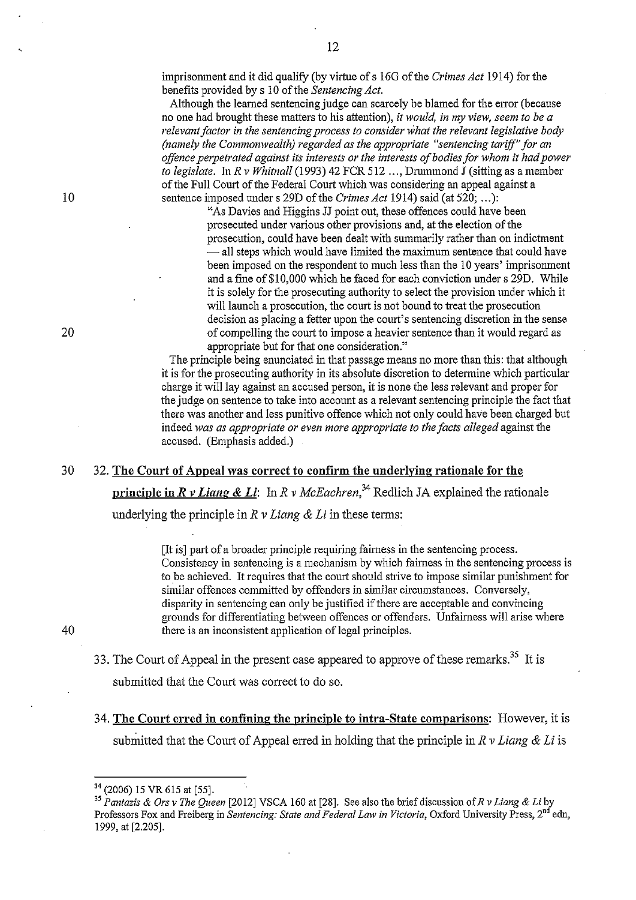imprisonment and it did qualifY (by virtue ofs 160 of the *Crimes Act* 1914) for the benefits provided by s 10 of the *Sentencing Act*.

Although the learned sentencing judge can scarcely be blamed for the error (because no one had brought these matters to his attention), *it would, in my view, seem to be a relevant factor in the sentencing process to consider what the relevant legislative body (namely the Commonwealth) regarded as the appropriate "sentencing tariff" for an offence perpetrated against its interests or the interests of bodies for whom it had power to legislate.* In *R v Whitnall* (1993) 42 FCR 512 ..., Drummond J (sitting as a member of the Full Court of the Federal Court which was considering an appeal against a 10 sentence imposed under s 29D of the *Crimes Act* 1914) said (at 520; ...):

"As Davies and Higgins JJ point out, these offences could have been prosecuted under various other provisions and, at the election of the prosecution, could have been dealt with summarily rather than on indictment - all steps which would have limited the maximum sentence that could have been imposed on the respondent to much less than the 10 years' imprisonment and a fine of\$10,000 which he faced for each conviction under s 29D. While it is solely for the prosecuting authority to select the provision under which it will launch a prosecution, the court is not bound to treat the prosecution decision as placing a fetter upon the court's sentencing discretion in the sense 20 of compeiiing the court to impose a heavier sentence than it would regard as appropriate but for that one consideration."

> The principle being enunciated in that passage means no more than this: that although it is for the prosecuting authority in its absolute discretion to determine which particular charge it will lay against an accused person, it is none the less relevant and proper for the judge on sentence to take into account as a relevant sentencing principle the fact that there was another and less punitive offence which not only could have been charged but indeed *was as appropriate or even more appropriate to the facts alleged* against the accused. (Emphasis added.)

### 30 32. **The Court of Appeal was correct to confirm the underlying rationale for the**

**principle in** *R v Liang & Li*: In *R v McEachren*,<sup>34</sup> Redlich JA explained the rationale

underlying the principle in *R v Liang & Li* in these terms:

[It is] part of a broader principle requiring fairness in the sentencing process. Consistency in sentencing is a mechanism by which fairness in the sentencing process is to be achieved. It requires that the court should strive to impose similar punishment for similar offences committed by offenders in similar circumstances. Conversely, disparity in sentencing can only be justified if there are acceptable and convincing grounds for differentiating between offences or offenders. Unfairness will arise where there is an inconsistent application of legal principles.

- 33. The Court of Appeal in the present case appeared to approve of these remarks.<sup>35</sup> It is submitted that the Court was correct to do so.
- 34. **The Court erred in confining the principle to intra-State comparisons:** However, it is submitted that the Comt of Appeal erred in holding that the principle in *R v Liang* & *Li* is

<sup>34 (2006) 15</sup> VR 615 at [55].

<sup>35</sup>*Pantazis* & *Ors v The Queen* [2012] VSCA 160 at [28]. See also the brief discussion of *R v Liang* & *Li* by Professors Fox and Freiberg in *Sentencing: State and Federal Law in Victoria*, Oxford University Press, 2<sup>nd</sup> edn, 1999, at [2.205].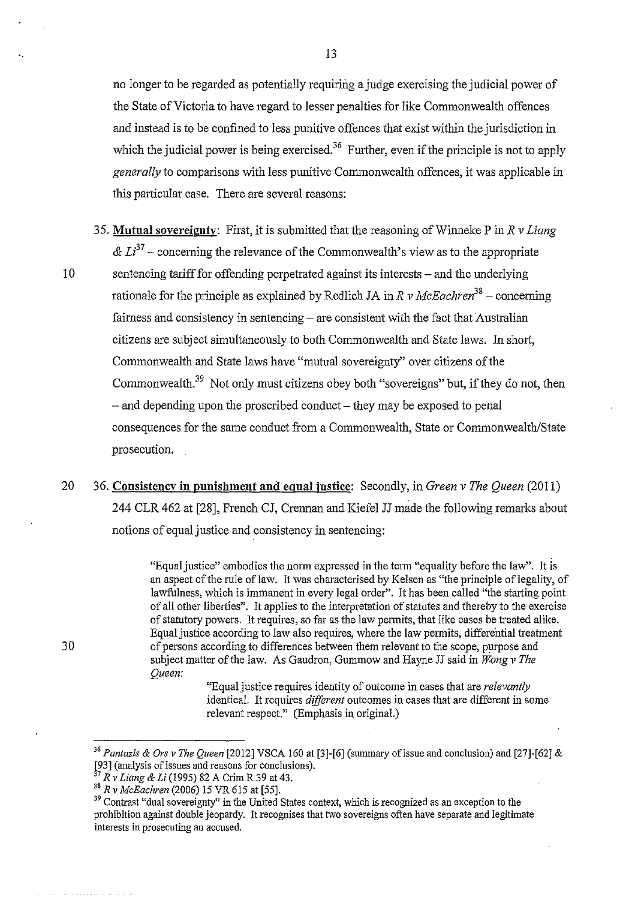no longer to be regarded as potentially requiring a judge exercising the judicial power of the State of Victoria to have regard to lesser penalties for like Commonwealth offences and instead is to be confined to less punitive offences that exist within the jurisdiction in which the judicial power is being exercised.<sup>36</sup> Further, even if the principle is not to apply *generally* to comparisons with less punitive Conunonwealth offences, it was applicable in this particular case. There are several reasons:

- 3 5. **Mutual sovereigntv:** First, it is submitted that the reasoning of Winneke P in *R v Liang*   $\& L^{37}$  – concerning the relevance of the Commonwealth's view as to the appropriate 10 sentencing tariff for offending perpetrated against its interests – and the underlying rationale for the principle as explained by Redlich JA in *R v McEachren<sup>38</sup> -* concerning fairness and consistency in sentencing- are consistent with the fact that Australian citizens are subject simultaneously to both Commonwealth and State laws. In short, Commonwealth and State laws have "mutual sovereignty" over citizens of the Commonwealth.<sup>39</sup> Not only must citizens obey both "sovereigns" but, if they do not, then  $-$  and depending upon the proscribed conduct  $-$  they may be exposed to penal consequences for the same conduct from a Commonwealth, State or Commonwealth/State prosecution.
- 20 36. **Consistency in punishment and equal justice:** Secondly, in *Green v The Queen* (2011) 244 CLR 462 at [28], French CJ, Crennan and Kiefel JJ made the following remarks about notions of equal justice and consistency in sentencing:

"Equal justice" embodies the norm expressed in the term "equality before the law". It is an aspect of the rule of law. It was characterised by Kelsen as "the principle of legality, of lawfulness, which is immanent in every legal order". It has been called "the starting point of all other liberties". It applies to the interpretation of statutes and thereby to the exercise of statutory powers. It requires, so far as the law permits, that like cases be treated alike. Equal justice according to law also requires, where the law permits, differential treatment of persons according to differences between them relevant to the scope, purpose and subject matter of the law. As Gaudron, Gummow and Hayne JJ said in *Wong v The Queen:* 

"Equal justice requires identity of outcome in cases that are *relevantly*  identical. It requires *different* outcomes in cases that are different in some relevant respect." (Emphasis in original.)

<sup>36</sup>*Pantazis* & *Ors v The Queen* [2012] VSCA !60 at [3]-[6] (summary of issue and conclusion) and [27]-[62] & [93] (analysis of issues and reasons for conclusions).

<sup>37</sup>*R v Liang* & Li (1995) 82 A Crim R 39 at 43.

<sup>38</sup>*R v McEachren* (2006) 15 VR 615 at [55].

<sup>&</sup>lt;sup>39</sup> Contrast "dual sovereignty" in the United States context, which is recognized as an exception to the prohibition against double jeopardy. It recognises that two sovereigns often have separate and legitimate interests in prosecuting an accused.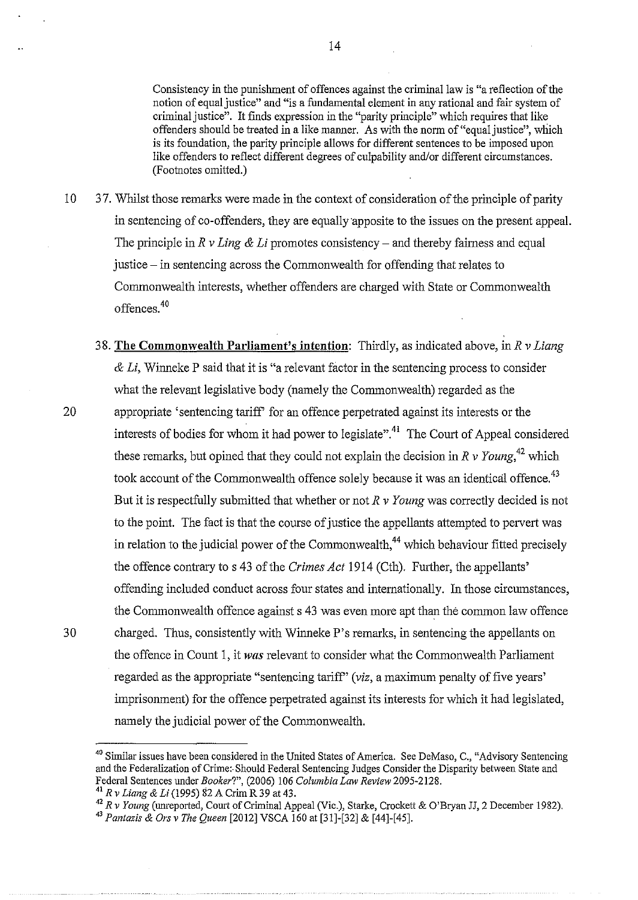Consistency in the punishment of offences against the criminal law is "a reflection of the notion of equal justice" and "is a fundamental element in any rational and fair system of criminal justice". It finds expression in the "parity principle" which requires that like offenders should be treated in a like manner. As with the norm of "equal justice", which is its foundation, the parity principle allows for different sentences to be imposed upon like offenders to reflect different degrees of culpability aud/or different circumstances. (Footnotes omitted.)

- 10 37. Whilst those remarks were made in the context of consideration of the principle of parity in sentencing of co-offenders, they are equally apposite to the issues on the present appeal. The principle in *R v Ling & Li* promotes consistency – and thereby fairness and equal justice- in sentencing across the Commonwealth for offending that relates to Commonwealth interests, whether offenders are charged with State or Commonwealth offences. 40
- 38. **The Commonwealth Parliament's intention:** Thirdly, as indicated above, in *R v Liang*  & *Li,* Winneke P said that it is "a relevant factor in the sentencing process to consider what the relevant legislative body (namely the Commonwealth) regarded as the 20 appropriate 'sentencing tariff' for an offence perpetrated against its interests or the interests of bodies for whom it had power to legislate".<sup>41</sup> The Court of Appeal considered these remarks, but opined that they could not explain the decision in  $R v$  Young,<sup>42</sup> which took account of the Commonwealth offence solely because it was an identical offence.<sup>43</sup> But it is respectfully submitted that whether or not *R v Young* was correctly decided is not to the point. The fact is that the course of justice the appellants attempted to pervert was in relation to the judicial power of the Commonwealth,<sup>44</sup> which behaviour fitted precisely the offence contrary to s 43 of the *Crimes Act* 1914 (Cth). Further, the appellants' offending included conduct across four states and internationally. In those circumstances, the Commonwealth offence against s 43 was even more apt than the common law offence 30 charged. Thus, consistently with Winneke P's remarks, in sentencing the appellants on the offence in Count 1, it *was* relevant to consider what the Commonwealth Parliament regarded as the appropriate "sentencing tariff" *(viz,* a maximum penalty of five years' imprisonment) for the offence perpetrated against its interests for which it had legislated, namely the judicial power of the Commonwealth.

<sup>&</sup>lt;sup>40</sup> Similar issues have been considered in the United States of America. See DeMaso, C., "Advisory Sentencing and the Federalization of Crime:. Should Federal Sentencing Judges Consider the Disparity between State and Federal Sentences under *Booker?",* (2006) 106 *Columbia Lmv Review* 2095-2128.

<sup>41</sup>*R v Liang* & *Li* (1995) 82 A Crim R 39 at 43.

<sup>42</sup>*R v Young* (unreported, Court of Criminal Appeal (Vic.), Starke, Crockett & O'Bryan JJ, 2 December 1982).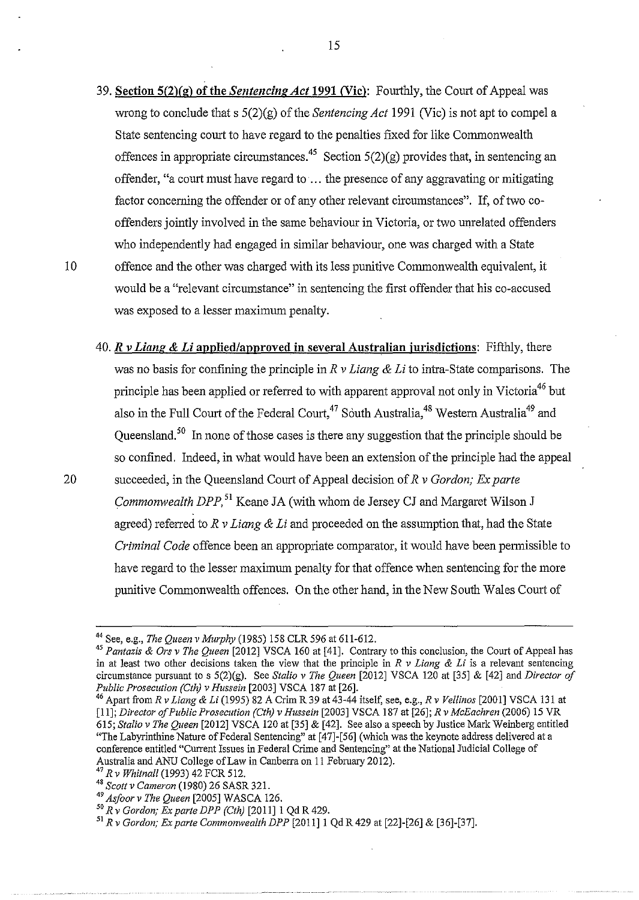- 39. Section5(2)(g) of the *Sentencing Act* 1991 CVic): Fourthly, the Court of Appeal was wrong to conclude that s 5(2)(g) of the *Sentencing Act* 1991 (Vic) is not apt to compel a State sentencing court to have regard to the penalties fixed for like Commonwealth offences in appropriate circumstances.<sup>45</sup> Section  $5(2)(g)$  provides that, in sentencing an offender, "a court must have regard to· ... the presence of any aggravating or mitigating factor concerning the offender or of any other relevant circumstances". If, of two cooffenders jointly involved in the same behaviour in Victoria, or two unrelated offenders who independently had engaged in similar behaviour, one was charged with a State 10 offence and the other was charged with its less punitive Commonwealth equivalent, it would be a "relevant circumstance" in sentencing the first offender that his co-accused was exposed to a lesser maximum penalty.
- 40. *R v Liang* & *Li* applied/approved in several Australian jurisdictions: Fifthly, there was no basis for confining the principle in *R v Liang & Li* to intra-State comparisons. The principle has been applied or referred to with apparent approval not only in Victoria<sup>46</sup> but also in the Full Court of the Federal Court,<sup>47</sup> South Australia,<sup>48</sup> Western Australia<sup>49</sup> and Queensland. 50 In none of those cases is there any suggestion that the principle should be so confined. Indeed, in what would have been an extension of the principle had the appeal 20 succeeded, in the Queensland Court of Appeal decision of *R v Gordon; Ex parte Commonwealth DPP,* 51 Keane JA (with whom de Jersey CJ and Margaret Wilson J agreed) referred to *R v Liang* & *Li* and proceeded on the assumption that, had the State *Criminal Code* offence been an appropriate comparator, it would have been permissible to have regard to the lesser maximum penalty for that offence when sentencing for the more punitive Commonwealth offences. On the other hand, in the New South Wales Court of

[II]; *Director of Public Prosecution (Cth) v Hussein* [2003] VSCA 187 at [26]; *R v McEachren* (2006) 15 VR 615; *Stalio v The Queen* [2012] VSCA 120 at [35] & [42]. See also a speech by Justice Mark Weinberg entitled "The Labyrinthine Nature of Federal Sentencing" at [47]-[56] (which was the keynote address delivered at a conference entitled "Current Issues in Federal Crime and Sentencing" at the National Judicial College of Australia and ANU College of Law in Canberra on 11 February 2012). 47 *Rv Whitnall* (1993) 42 FCR 512.

<sup>44</sup> See, e.g., *The Queen v Murphy* (1985) 158 CLR 596 at 611-612. 45 *Pantazis* & *Ors v The Queen* [2012] VSCA 160 at [41]. Contrary to this conclusion, the Court of Appeal has in at least two other decisions taken the view that the principle in *R v Liang* & *Li* is a relevant sentencing circumstance pursuant to s 5(2)(g). See *Stalio v The Queen* [2012] VSCA 120 at [35] & [42] and *Director of* 

*Public Prosecution (Cth) v Hussein* [2003] VSCA 187 at [26]. 46 Apart from *R v Liang* & *Li* (1995) 82 A Criro R 39 at 43-44 itself, see, e.g., *R v Ve/linos* [2001] VSCA 131 at

<sup>48</sup> Scott v Cameron (1980) 26 SASR 321.<br><sup>49</sup> Asfoor v The Queen [2005] WASCA 126.

<sup>49</sup>*Asfoor v The Queen* [2005] W ASCA 126. 50 *R v Gordon; Ex parte DPP (Cth)* [2011]1 Qd R429. 51 *R v Gordon; Ex parte Commonwealth DPP* [2011]1 Qd R 429 at [22]-[26] & [36]-[37].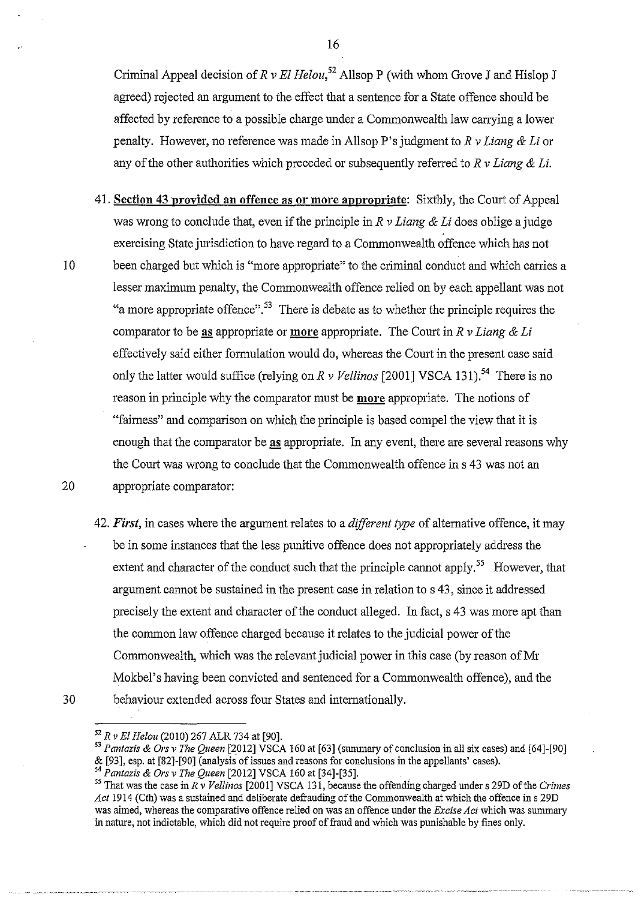Criminal Appeal decision of  $R v \mathcal{E}$  *Helou*,<sup>52</sup> Allsop P (with whom Grove J and Hislop J agreed) rejected an argument to the effect that a sentence for a State offence should be affected by reference to a possible charge under a Commonwealth law carrying a lower penalty. However, no reference was made in AllsopP's judgment *toR v Liang* & *Li* or any of the other authorities which preceded or subsequently referred to R v Liang & Li.

- **41. Section 43 provided an offence as or more appropriate:** Sixthly, the Court of Appeal was wrong to conclude that, even if the principle in *R v Liang* & *Li* does oblige a judge exercising State jurisdiction to have regard to a Commonwealth offence which has not 10 been charged but which is "more appropriate" to the criminal conduct and which carries a lesser maximum penalty, the Commonwealth offence relied on by each appellant was not "a more appropriate offence". 53 There is debate as to whether the principle requires the comparator to be as appropriate or **more** appropriate. The Court in  $R$  v Liang  $\&$  Li effectively said either formulation would do, whereas the Court in the present case said only the latter would suffice (relying on *R v Vellinos* [2001] VSCA 131).<sup>54</sup> There is no reason in principle why the comparator must be **more** appropriate. The notions of "fairness" and comparison on which the principle is based compel the view that it is enough that the comparator be as appropriate. In any event, there are several reasons why the Court was wrong to conclude that the Commonwealth offence ins 43 was not an 20 appropriate comparator:
- 42. *First,* in cases where the argument relates to a *dijferent type* of alternative offence, it may be in some instances that the less punitive offence does not appropriately address the extent and character of the conduct such that the principle cannot apply.<sup>55</sup> However, that argument cannot be sustained in the present case in relation to s 43, since it addressed precisely the extent and character of the conduct alleged. In fact, s 43 was more apt than the common law offence charged because it relates to the judicial power of the Commonwealth, which was the relevant judicial power in this case (by reason of Mr Mokbel's having been convicted and sentenced for a Commonwealth offence), and the 30 behaviour extended across four States and internationally.

<sup>52</sup>*R vEl Helou* (2010) 267 ALR 734 at [90].

<sup>53</sup>*Pantazis* & *Ors v The Queen* [2012] VSCA 160 at [63] (swnmary of conclusion in all six cases) and [64]-[90] & [93], esp. at [82]-[90] (analysis of issues and reasons for conclusions in the appellants' cases).

<sup>54</sup>*Pantazis* & *Ors v The Queen* [2012] VSCA 160 at [34]-[35].

<sup>&</sup>lt;sup>55</sup> That was the case in  $R \tilde{v}$  Vellinos [2001] VSCA 131, because the offending charged under s 29D of the *Crimes* Act 1914 (Cth) was a sustained and deliberate defrauding of the Commonwealth at which the offence in s 29D was aimed, whereas the comparative offence relied on was an offence under the *Excise Act* which was swnmary in nature, not indictable, which did not require proof of fraud and which was punishable by fmes only.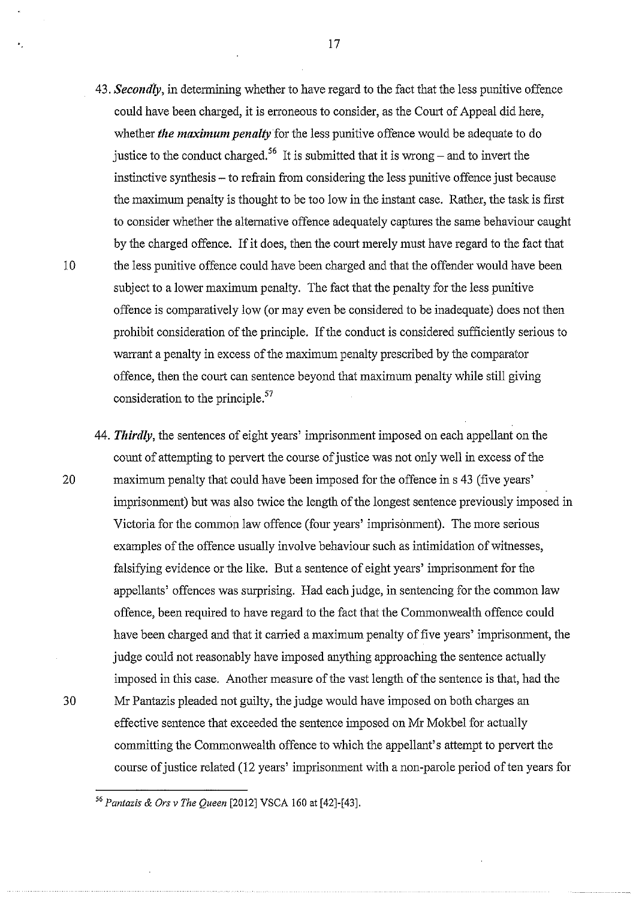- 43. *Secondly,* in determining whether to have regard to the fact that the less punitive offence could have been charged, it is erroneous to consider, as the Court of Appeal did here, whether *the maximum penalty* for the less punitive offence would be adequate to do justice to the conduct charged.<sup>56</sup> It is submitted that it is wrong – and to invert the instinctive synthesis – to refrain from considering the less punitive offence just because the maximmn penalty is thought to be too low in the instant case. Rather, the task is first to consider whether the alternative offence adequately captures the same behaviour caught by the charged offence. If it does, then the court merely must have regard to the fact that 10 the less punitive offence could have been charged and that the offender would have been subject to a lower maximum penalty. The fact that the penalty for the less punitive offence is comparatively low (or may even be considered to be inadequate) does not then prohibit consideration of the principle. If the conduct is considered sufficiently serious to warrant a penalty in excess of the maximum penalty prescribed by the comparator offence, then the court can sentence beyond that maximum penalty while still giving consideration to the principle.<sup>57</sup>
- 44. *Thirdly,* the sentences of eight years' imprisonment imposed on each appellant on the count of attempting to pervert the course of justice was not only well in excess of the 20 maximum penalty that could have been imposed for the offence in s 43 (five years' imprisonment) but was also twice the length of the longest sentence previously imposed in Victoria for the common law offence (fom years' imprisonment). The more serious examples of the offence usually involve behaviom such as intimidation of witnesses, falsifying evidence or the like. But a sentence of eight years' imprisonment for the appellants' offences was surprising. Had each judge, in sentencing for the common law offence, been required to have regard to the fact that the Commonwealth offence could have been charged and that it carried a maximum penalty of five years' imprisonment, the judge could not reasonably have imposed anything approaching the sentence actually imposed in this case. Another measure of the vast length of the sentence is that, had the 30 Mr Pantazis pleaded not guilty, the judge would have imposed on both charges an

effective sentence that exceeded the sentence imposed on Mr Mokbel for actually

committing the Commonwealth offence to which the appellant's attempt to pervert the

course of justice related (12 years' imprisonment with a non-parole period of ten years for

*<sup>56</sup> Pantazis* & *Ors v The Queen* [2012] VSCA 160 at [42]-[43].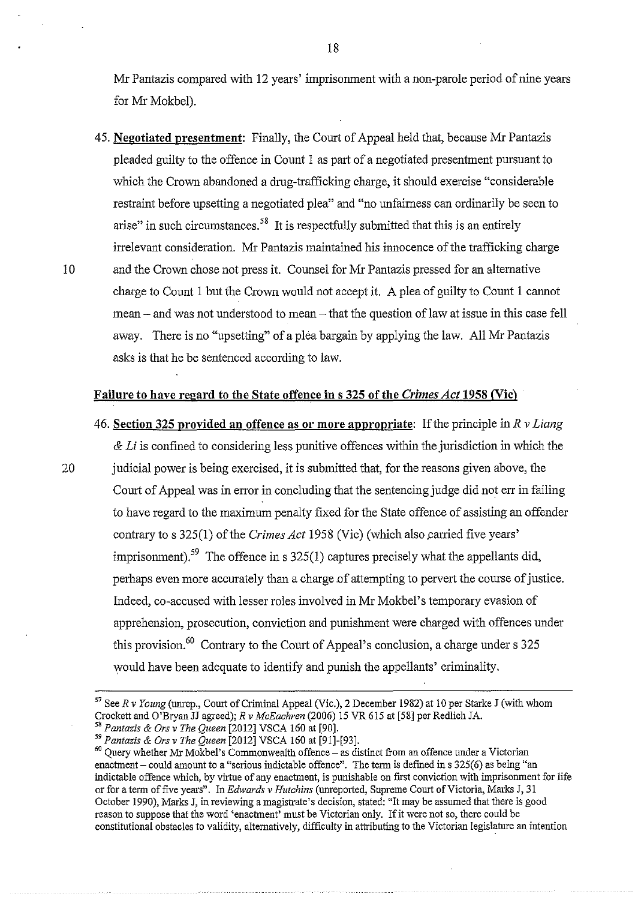Mr Pantazis compared with 12 years' imprisonment with a non-parole period of nine years for Mr Mokbel).

45. **Negotiated presentment:** Finally, the Court of Appeal held that, because Mr Pantazis pleaded guilty to the offence in Count 1 as part of a negotiated presentment pursuant to which the Crown abandoned a drug-trafficking charge, it should exercise "considerable restraint before upsetting a negotiated plea" and "no unfairness can ordinarily be seen to arise" in such circumstances.<sup>58</sup> It is respectfully submitted that this is an entirely irrelevant consideration. Mr Pantazis maintained his innocence of the trafficking charge 10 and the Crown chose not press it. Counsel for Mr Pantazis pressed for an alternative charge to Count 1 but the Crown would not accept it. A plea of guilty to Count 1 cannot mean- and was not understood to mean- that the question of law at issue in this case fell away. There is no "upsetting" of a plea bargain by applying the law. All Mr Pantazis asks is that he be sentenced according to law.

## **Failure to have regard to the State offence in s 325 of the** *Crimes Act* **1958 (Vic)**

- 46. **Section 325 provided an offence as or more appropriate:** If the principle in *R v Liang*  & *Li* is confined to considering less punitive offences within the jurisdiction in which the 20 judicial power is being exercised, it is submitted that, for the reasons given above, the Court of Appeal was in error in concluding that the sentencing judge did not err in failing to have regard to the maximum penalty fixed for the State offence of assisting an offender contrary to s 325(1) of the *Crimes Act* 1958 (Vic) (which also carried five years' imprisonment).<sup>59</sup> The offence in s  $325(1)$  captures precisely what the appellants did, perhaps even more accurately than a charge of attempting to pervert the course of justice. Indeed, co-accused with lesser roles involved in Mr Mokbel's temporary evasion of apprehension, prosecution, conviction and punishment were charged with offences under this provision.<sup>60</sup> Contrary to the Court of Appeal's conclusion, a charge under s 325 would have been adequate to identify and punish the appellants' criminality.
	- 57 SeeR *v Young* (unrep., Court of Criminal Appeal (Vic.), 2 December 1982) at 10 per Starke **J** (with whom Crockett and O'Bryan JJ agreed); *R v McEachren* (2006) 15 VR 615 at [58] per Redlich JA. <sup>58</sup>*Pantazis* & *Ors v The Queen* [2012] VSCA 160 at [90].

*<sup>59</sup> Pantazis* & *Ors v The Queen* [2012] VSCA 160 at [91]-[93].

 $60$  Query whether Mr Mokbel's Commonwealth offence - as distinct from an offence under a Victorian enactment - could amount to a "serious indictable offence". The term is defined in s 325(6) as being "an indictable offence which, by virtue of any enactment, is punishable on first conviction with imprisonment for life or for a term of five years". In *Edwards v Hutchins* (unreported, Supreme Court of Victoria, Marks J, 31 October 1990), Marks J, in reviewing a magistrate's decision, stated: "It may be assumed that there is good reason to suppose that the word 'enactment' must be Victorian only. If it were not so, there could be constitutional obstacles to validity, alternatively, difficulty in attributing to the Victorian legislature an intention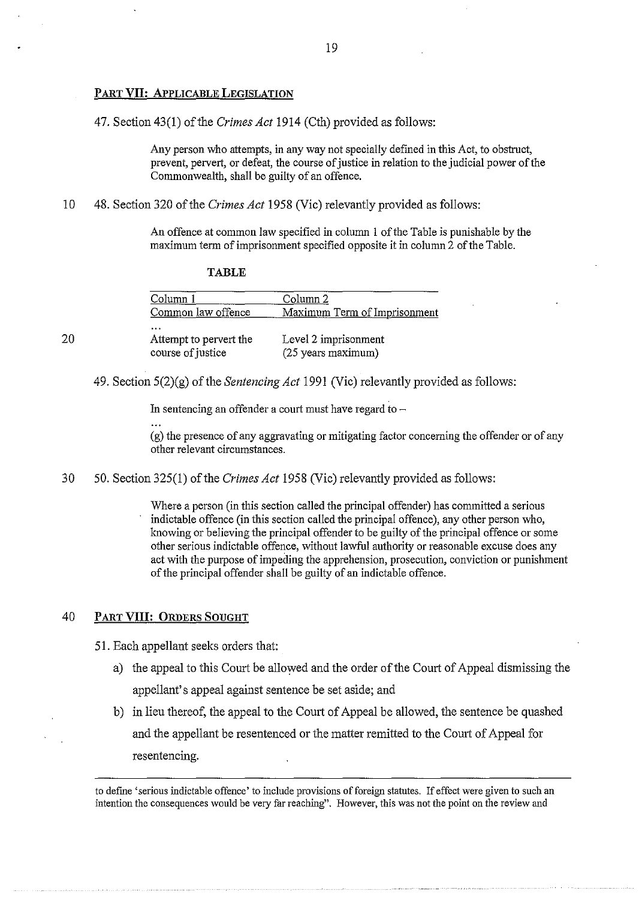## **PART VII: APPLICABLE LEGISLATION**

47. Section 43(1) of the *Crimes Act* 1914 (Cth) provided as follows:

Any person who attempts, in any way not specially defined in this Act, to obstruct, prevent, pervert, or defeat, the course of justice in relation to the judicial power of the Commonwealth, shall be guilty of an offence.

10 48. Section 320 of the *Crimes Act* 1958 (Vic) relevantly provided as follows:

An offence at common law specified in column 1 of the Table is punishable by the maximum term of imprisonment specified opposite it in column 2 of the Table.

| . از ف<br>u |
|-------------|
|-------------|

| Column 1               | Column <sub>2</sub>          |
|------------------------|------------------------------|
| Common law offence     | Maximum Term of Imprisonment |
| $\cdots$               |                              |
| Attempt to pervert the | Level 2 imprisonment         |
| course of justice      | (25 years maximum)           |

49. Section 5(2)(g) of the *Sentencing Act* 1991 (Vic) relevantly provided as follows:

In sentencing an offender a court must have regard to  $-$ 

(g) the presence of any aggravating or mitigating factor concerning the offender or of any other relevant circumstances.

30 50. Section 325(1) of the *Crimes Act* 1958 (Vic) relevantly provided as follows:

Where a person (in this section called the principal offender) has committed a serious indictable offence (in this section called the principal offence), any other person who, knowing or believing the principal offender to be guilty of the principal offence or some other serious indictable offence, without lawful authority or reasonable excuse does any act with the purpose of impeding the apprehension, prosecution, conviction or punishment of the principal offender shall be guilty of an indictable offence.

## 40 **PART VIII: ORDERS SOUGHT**

20

51. Each appellant seeks orders that:

- a) the appeal to this Court be allowed and the order of the Court of Appeal dismissing the appellant's appeal against sentence be set aside; and
- b) in lieu thereof, the appeal to the Comt of Appeal be allowed, the sentence be quashed and the appellant be resentenced or the matter remitted to the Comt of Appeal for resentencing.

to define 'serious indictable offence' to include provisions of foreign statutes. If effect were given to such an intention the consequences would be very far reaching". However, this was not the point on the review and